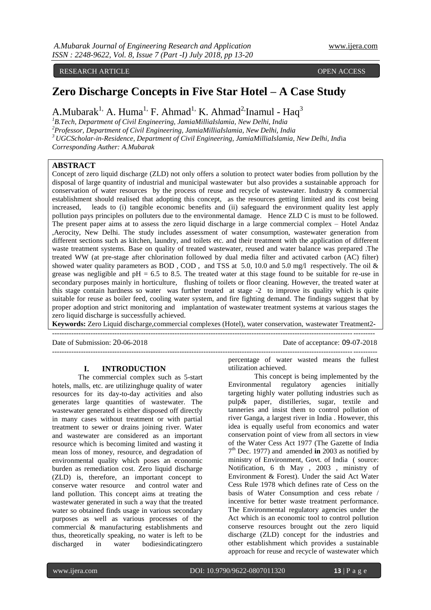RESEARCH ARTICLE **CONTRACT ARTICLE** 

# **Zero Discharge Concepts in Five Star Hotel – A Case Study**

A.Mubarak<sup>1,</sup> A. Huma<sup>1,</sup> F. Ahmad<sup>1,</sup> K. Ahmad<sup>2</sup> Inamul - Haq<sup>3</sup>

*B.Tech, Department of Civil Engineering, JamiaMilliaIslamia, New Delhi, India Professor, Department of Civil Engineering, JamiaMilliaIslamia, New Delhi, India UGCScholar-in-Residence, Department of Civil Engineering, JamiaMilliaIslamia, New Delhi, Ind*ia *Corresponding Auther: A.Mubarak*

#### **ABSTRACT**

Concept of zero liquid discharge (ZLD) not only offers a solution to protect water bodies from pollution by the disposal of large quantity of industrial and municipal wastewater but also provides a sustainable approach for conservation of water resources by the process of reuse and recycle of wastewater. Industry & commercial establishment should realised that adopting this concept, as the resources getting limited and its cost being increased, leads to (i) tangible economic benefits and (ii) safeguard the environment quality lest apply pollution pays principles on polluters due to the environmental damage. Hence ZLD C is must to be followed. The present paper aims at to assess the zero liquid discharge in a large commercial complex – Hotel Andaz ,Aerocity, New Delhi. The study includes assessment of water consumption, wastewater generation from different sections such as kitchen, laundry, and toilets etc. and their treatment with the application of different waste treatment systems. Base on quality of treated wastewater, reused and water balance was prepared .The treated WW (at pre-stage after chlorination followed by dual media filter and activated carbon (AC) filter) showed water quality parameters as BOD , COD , and TSS at 5.0, 10.0 and 5.0 mg/l respectively. The oil & grease was negligible and  $pH = 6.5$  to 8.5. The treated water at this stage found to be suitable for re-use in secondary purposes mainly in horticulture, flushing of toilets or floor cleaning. However, the treated water at this stage contain hardness so water was further treated at stage -2 to improve its quality which is quite suitable for reuse as boiler feed, cooling water system, and fire fighting demand. The findings suggest that by proper adoption and strict monitoring and implantation of wastewater treatment systems at various stages the zero liquid discharge is successfully achieved.

**Keywords:** Zero Liquid discharge,commercial complexes (Hotel), water conservation, wastewater Treatment2**-**

 $-1-\frac{1}{2}$ 

Date of Submission: 20-06-2018 Date of acceptance: 09-07-2018

# **I. INTRODUCTION**

The commercial complex such as 5-start hotels, malls, etc. are utilizinghuge quality of water resources for its day-to-day activities and also generates large quantities of wastewater. The wastewater generated is either disposed off directly in many cases without treatment or with partial treatment to sewer or drains joining river. Water and wastewater are considered as an important resource which is becoming limited and wasting it mean loss of money, resource, and degradation of environmental quality which poses an economic burden as remediation cost. Zero liquid discharge (ZLD) is, therefore, an important concept to conserve water resource and control water and land pollution. This concept aims at treating the wastewater generated in such a way that the treated water so obtained finds usage in various secondary purposes as well as various processes of the commercial & manufacturing establishments and thus, theoretically speaking, no water is left to be discharged in water bodiesindicatingzero

percentage of water wasted means the fullest utilization achieved.

This concept is being implemented by the Environmental regulatory agencies initially targeting highly water polluting industries such as pulp& paper, distilleries, sugar, textile and tanneries and insist them to control pollution of river Ganga, a largest river in India . However, this idea is equally useful from economics and water conservation point of view from all sectors in view of the Water Cess Act 1977 (The Gazette of India 7 th Dec. 1977) and amended **in** 2003 as notified by ministry of Environment, Govt. of India ( source: Notification, 6 th May , 2003 , ministry of Environment & Forest). Under the said Act Water Cess Rule 1978 which defines rate of Cess on the basis of Water Consumption and cess rebate / incentive for better waste treatment performance. The Environmental regulatory agencies under the Act which is an economic tool to control pollution conserve resources brought out the zero liquid discharge (ZLD) concept for the industries and other establishment which provides a sustainable approach for reuse and recycle of wastewater which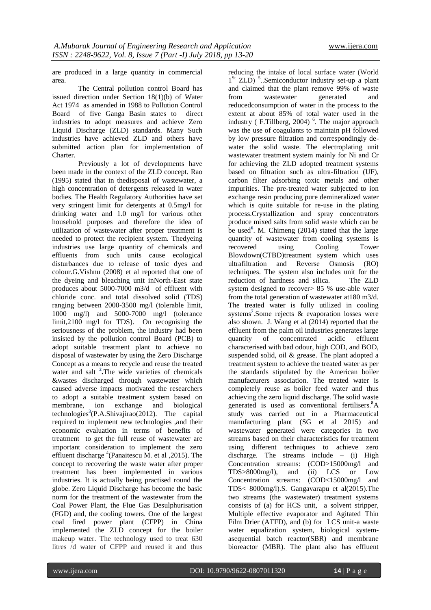are produced in a large quantity in commercial area.

The Central pollution control Board has issued direction under Section 18(1)(b) of Water Act 1974 as amended in 1988 to Pollution Control Board of five Ganga Basin states to direct industries to adopt measures and achieve Zero Liquid Discharge (ZLD) standards. Many Such industries have achieved ZLD and others have submitted action plan for implementation of Charter.

Previously a lot of developments have been made in the context of the ZLD concept. Rao (1995) stated that in thedisposal of wastewater, a high concentration of detergents released in water bodies. The Health Regulatory Authorities have set very stringent limit for detergents at 0.5mg/l for drinking water and 1.0 mg/l for various other household purposes and therefore the idea of utilization of wastewater after proper treatment is needed to protect the recipient system. Thedyeing industries use large quantity of chemicals and effluents from such units cause ecological disturbances due to release of toxic dyes and colour.G.Vishnu (2008) et al reported that one of the dyeing and bleaching unit inNorth-East state produces about 5000-7000 m3/d of effluent with chloride conc. and total dissolved solid (TDS) ranging between 2000-3500 mg/l (tolerable limit, 1000 mg/l) and 5000-7000 mg/l (tolerance limit,2100 mg/l for TDS). On recognising the seriousness of the problem, the industry had been insisted by the pollution control Board (PCB) to adopt suitable treatment plant to achieve no disposal of wastewater by using the Zero Discharge Concept as a means to recycle and reuse the treated water and salt **<sup>2</sup> .**The wide varieties of chemicals &wastes discharged through wastewater which caused adverse impacts motivated the researchers to adopt a suitable treatment system based on membrane, ion exchange and biological technologies**<sup>3</sup>** (P.A.Shivajirao(2012). The capital required to implement new technologies ,and their economic evaluation in terms of benefits of treatment to get the full reuse of wastewater are important consideration to implement the zero effluent discharge <sup>4</sup>(Panaitescu M. et al , 2015). The concept to recovering the waste water after proper treatment has been implemented in various industries. It is actually being practised round the globe. Zero Liquid Discharge has become the basic norm for the treatment of the wastewater from the Coal Power Plant, the Flue Gas Desulphurisation (FGD) and, the cooling towers. One of the largest coal fired power plant (CFPP) in China implemented the ZLD concept for the boiler makeup water. The technology used to treat 630 litres /d water of CFPP and reused it and thus

reducing the intake of local surface water (World 1<sup>St</sup> ZLD)<sup>5</sup>..Semiconductor industry set-up a plant and claimed that the plant remove 99% of waste from wastewater generated and reducedconsumption of water in the process to the extent at about 85% of total water used in the industry (F.Tillberg, 2004)<sup>6</sup>. The major approach was the use of coagulants to maintain pH followed by low pressure filtration and correspondingly dewater the solid waste. The electroplating unit wastewater treatment system mainly for Ni and Cr for achieving the ZLD adopted treatment systems based on filtration such as ultra-filtration (UF), carbon filter adsorbing toxic metals and other impurities. The pre-treated water subjected to ion exchange resin producing pure demineralized water which is quite suitable for re-use in the plating process.Crystallization and spray concentrators produce mixed salts from solid waste which can be be used<sup>6</sup>. M. Chimeng  $(2014)$  stated that the large quantity of wastewater from cooling systems is recovered using Cooling Tower Blowdown(CTBD)treatment system which uses ultrafiltration and Reverse Osmosis (RO) techniques. The system also includes unit for the reduction of hardness and silica. The ZLD system designed to recover> 85 % use-able water from the total generation of wastewater at180 m3/d. The treated water is fully utilized in cooling systems**<sup>7</sup>** .Some rejects & evaporation losses were also shown. J. Wang et al  $(2014)$  reported that the effluent from the palm oil industries generates large quantity of concentrated acidic effluent characterised with bad odour, high COD, and BOD, suspended solid, oil & grease. The plant adopted a treatment system to achieve the treated water as per the standards stipulated by the American boiler manufacturers association. The treated water is completely reuse as boiler feed water and thus achieving the zero liquid discharge. The solid waste generated is used as conventional fertilisers.**<sup>8</sup>**A study was carried out in a Pharmaceutical manufacturing plant (SG et al 2015) and wastewater generated were categories in two streams based on their characteristics for treatment using different techniques to achieve zero discharge. The streams include – (i) High Concentration streams: (COD>15000mg/l and TDS>8000mg/l), and (ii) LCS or Low Concentration streams: (COD<15000mg/l and TDS< 8000mg/l).S. Gangavarapu et al(2015).The two streams (the wastewater) treatment systems consists of (a) for HCS unit, a solvent stripper, Multiple effective evaporator and Agitated Thin Film Drier (ATFD), and (b) for LCS unit-a waste water equalization system, biological systemasequential batch reactor(SBR) and membrane bioreactor (MBR). The plant also has effluent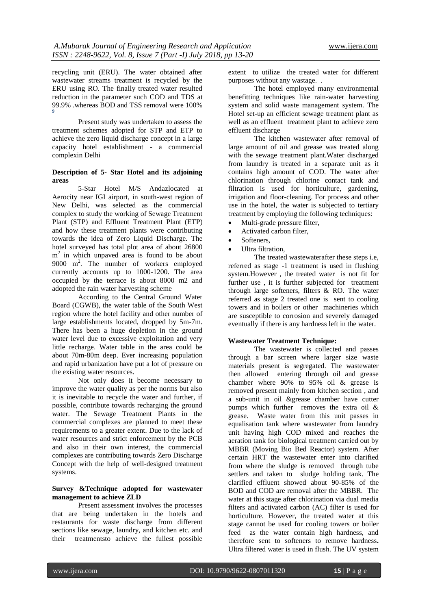recycling unit (ERU). The water obtained after wastewater streams treatment is recycled by the ERU using RO. The finally treated water resulted reduction in the parameter such COD and TDS at 99.9% .whereas BOD and TSS removal were 100% **9**

Present study was undertaken to assess the treatment schemes adopted for STP and ETP to achieve the zero liquid discharge concept in a large capacity hotel establishment - a commercial complexin Delhi

#### **Description of 5- Star Hotel and its adjoining areas**

5-Star Hotel M/S Andazlocated at Aerocity near IGI airport, in south-west region of New Delhi, was selected as the commercial complex to study the working of Sewage Treatment Plant (STP) and Effluent Treatment Plant (ETP) and how these treatment plants were contributing towards the idea of Zero Liquid Discharge. The hotel surveyed has total plot area of about 26800 m<sup>2</sup> in which unpaved area is found to be about 9000 m<sup>2</sup> . The number of workers employed currently accounts up to 1000-1200. The area occupied by the terrace is about 8000 m2 and adopted the rain water harvesting scheme

According to the Central Ground Water Board (CGWB), the water table of the South West region where the hotel facility and other number of large establishments located, dropped by 5m-7m. There has been a huge depletion in the ground water level due to excessive exploitation and very little recharge. Water table in the area could be about 70m-80m deep. Ever increasing population and rapid urbanization have put a lot of pressure on the existing water resources.

Not only does it become necessary to improve the water quality as per the norms but also it is inevitable to recycle the water and further, if possible, contribute towards recharging the ground water. The Sewage Treatment Plants in the commercial complexes are planned to meet these requirements to a greater extent. Due to the lack of water resources and strict enforcement by the PCB and also in their own interest, the commercial complexes are contributing towards Zero Discharge Concept with the help of well-designed treatment systems.

#### **Survey &Technique adopted for wastewater management to achieve ZLD**

Present assessment involves the processes that are being undertaken in the hotels and restaurants for waste discharge from different sections like sewage, laundry, and kitchen etc. and their treatmentsto achieve the fullest possible

extent to utilize the treated water for different purposes without any wastage. .

The hotel employed many environmental benefitting techniques like rain-water harvesting system and solid waste management system. The Hotel set-up an efficient sewage treatment plant as well as an effluent treatment plant to achieve zero effluent discharge

The kitchen wastewater after removal of large amount of oil and grease was treated along with the sewage treatment plant.Water discharged from laundry is treated in a separate unit as it contains high amount of COD. The water after chlorination through chlorine contact tank and filtration is used for horticulture, gardening, irrigation and floor-cleaning. For process and other use in the hotel, the water is subjected to tertiary treatment by employing the following techniques:

- Multi-grade pressure filter,
- Activated carbon filter,
- Softeners,
- Ultra filtration,

The treated wastewaterafter these steps i.e, referred as stage -1 treatment is used in flushing system.However , the treated water is not fit for further use , it is further subjected for treatment through large softeners, filters & RO. The water referred as stage 2 treated one is sent to cooling towers and in boilers or other machineries which are susceptible to corrosion and severely damaged eventually if there is any hardness left in the water.

#### **Wastewater Treatment Technique:**

The wastewater is collected and passes through a bar screen where larger size waste materials present is segregated. The wastewater then allowed entering through oil and grease chamber where 90% to 95% oil & grease is removed present mainly from kitchen section , and a sub-unit in oil &grease chamber have cutter pumps which further removes the extra oil & grease. Waste water from this unit passes in equalisation tank where wastewater from laundry unit having high COD mixed and reaches the aeration tank for biological treatment carried out by MBBR (Moving Bio Bed Reactor) system. After certain HRT the wastewater enter into clarified from where the sludge is removed through tube settlers and taken to sludge holding tank. The clarified effluent showed about 90-85% of the BOD and COD are removal after the MBBR. The water at this stage after chlorination via dual media filters and activated carbon (AC) filter is used for horticulture. However, the treated water at this stage cannot be used for cooling towers or boiler feed as the water contain high hardness, and therefore sent to softeners to remove hardness**.**  Ultra filtered water is used in flush. The UV system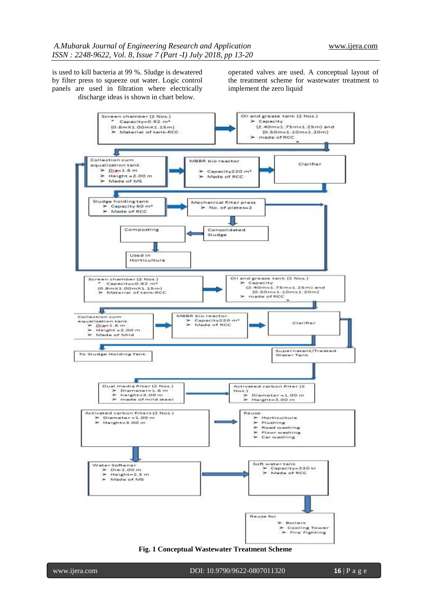is used to kill bacteria at 99 %. Sludge is dewatered by filter press to squeeze out water. Logic control panels are used in filtration where electrically discharge ideas is shown in chart below.

operated valves are used. A conceptual layout of the treatment scheme for wastewater treatment to implement the zero liquid



**Fig. 1 Conceptual Wastewater Treatment Scheme**

www.ijera.com DOI: 10.9790/9622-0807011320 **16** | P a g e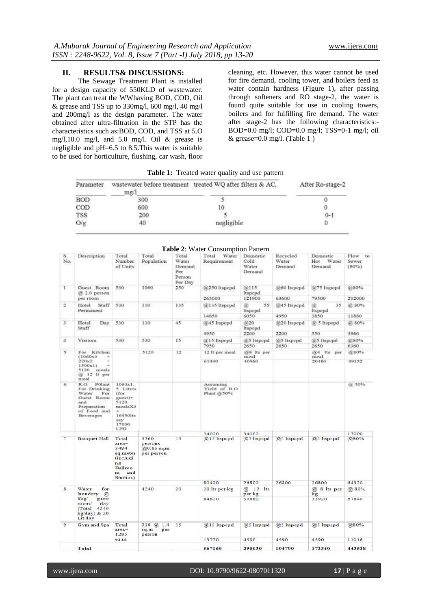#### **II. RESULTS& DISCUSSIONS:**

The Sewage Treatment Plant is installed for a design capacity of 550KLD of wastewater. The plant can treat the WWhaving BOD, COD, Oil & grease and TSS up to 330mg/l, 600 mg/l, 40 mg/l and 200mg/l as the design parameter. The water obtained after ultra-filtration in the STP has the characteristics such as:BOD, COD, and TSS at 5.O mg/l,10.0 mg/l, and 5.0 mg/l. Oil & grease is negligible and pH=6.5 to 8.5.This water is suitable to be used for horticulture, flushing, car wash, floor cleaning, etc. However, this water cannot be used for fire demand, cooling tower, and boilers feed as water contain hardness (Figure 1), after passing through softeners and RO stage-2, the water is found quite suitable for use in cooling towers, boilers and for fulfilling fire demand. The water after stage-2 has the following characteristics:- BOD=0.0 mg/l; COD=0.0 mg/l; TSS=0-1 mg/l; oil & grease=0.0 mg/l. (Table 1 )

| Parameter  | wastewater before treatment treated WQ after filters & AC,<br>me/1 | After Ro-stage-2 |         |
|------------|--------------------------------------------------------------------|------------------|---------|
| <b>BOD</b> | 300                                                                |                  |         |
| COD        | 600                                                                |                  |         |
| <b>TSS</b> | 200                                                                |                  | $0 - 1$ |
| O/g        | 40                                                                 | negligible       |         |

**Table 1:** Treated water quality and use pattern

|                |                                                                                                               |                                                                                              |                                            |                                                       | <b>Table 2:</b> Water Consumption Pattern |                                     |                             |                                    |                            |
|----------------|---------------------------------------------------------------------------------------------------------------|----------------------------------------------------------------------------------------------|--------------------------------------------|-------------------------------------------------------|-------------------------------------------|-------------------------------------|-----------------------------|------------------------------------|----------------------------|
| S.<br>No.      | Description                                                                                                   | Total<br>Number<br>of Units                                                                  | Total<br>Population                        | Total<br>Water<br>Demand<br>Per.<br>Person<br>Per Day | Total<br>Water<br>Requirement             | Domestic<br>Cold<br>Water<br>Demand | Recycled<br>Water<br>Demand | Domestic<br>Water<br>Hot<br>Demand | Flow to<br>Sewer.<br>(80%) |
| 1              | Guest Room<br>$@2.0$ person                                                                                   | 530                                                                                          | 1060                                       | 250                                                   | @250 Itspepd                              | (定115)<br>Itspcpd                   | @60 ltspcpd                 | @75 Itspcpd                        | @80%                       |
|                | per room                                                                                                      |                                                                                              |                                            |                                                       | 265000                                    | 121900                              | 63600                       | 79500                              | 212000                     |
| 2              | Hotel<br>Staff<br>Permanent                                                                                   | 530                                                                                          | 110                                        | 135                                                   | @135 ltspcpd                              | 55<br>a.<br>Itspcpd                 | @45 Itspcpd                 | a<br>35<br><i>ltspcpd</i>          | @ 80%                      |
|                |                                                                                                               |                                                                                              |                                            |                                                       | 14850                                     | 6050                                | 4950                        | 3850                               | 11880                      |
| 3              | Hotel<br>Dav<br>Staff                                                                                         | 530                                                                                          | 110                                        | 45                                                    | @45 Itspcpd                               | @20<br><b>Itspcpd</b>               | @20 Itspcpd                 | (ii) 5 ltspcpd                     | @ 80%                      |
|                |                                                                                                               |                                                                                              |                                            |                                                       | 4950                                      | 2200                                | 2200                        | 550                                | 3960                       |
| $\overline{4}$ | Visitors                                                                                                      | 530                                                                                          | 530                                        | 15                                                    | @15 ltspcpd<br>7950                       | @5 ltspcpd<br>2650                  | @5 ltspcpd<br>2650          | @5 ltspcpd<br>2650                 | @80%<br>6360               |
| 3              | For Kitchen<br>(1060x3)                                                                                       |                                                                                              | 5120                                       | 12                                                    | 12 It per meal                            | @8 Its per<br>meal                  |                             | 604 Its per<br>meal                | 0280%                      |
|                | 220×2<br>1500x1<br>5120 meals<br>@ 12 It per<br>meal                                                          |                                                                                              |                                            |                                                       | 61440                                     | 40960                               |                             | 20480                              | 49152                      |
| 6              | R.O<br>POlant<br>For Drinking<br>For<br>Water<br>Guest Room<br>and<br>Preparation<br>of Food and<br>Beverages | 1060x1.<br>5 Litres<br>(for<br>guest)+<br>5120<br>mealsX3<br>16950lts<br>sav<br>17000<br>LPD |                                            |                                                       | Assuming<br>Yield of R.O.<br>Plant @50%   |                                     |                             |                                    | @ 50%                      |
|                |                                                                                                               |                                                                                              |                                            |                                                       | 34000                                     | 34000                               |                             |                                    | 17000                      |
| 7              | <b>Banquet Hall</b>                                                                                           | Total<br>$area=$<br>3484<br>sq.meter<br>Gneludi<br>ng<br>Ballroo<br>m and<br>Studios)        | 5360<br>persons<br>@0.65 sqm<br>per person | 15                                                    | @15 Itspcpd                               | @5 ltspcpd                          | @5 ltspcpd                  | @5 ltspcpd                         | @80%                       |
|                |                                                                                                               |                                                                                              |                                            |                                                       | 80400                                     | 26800                               | 26800                       | 26800                              | 64320                      |
| g.             | Water<br>for<br>laundary<br>$\overline{a}$                                                                    |                                                                                              | 4240                                       | 20                                                    | 20 Its per kg                             | $@12$ Its<br>per kg                 |                             | @ 8 lts per<br>kg                  | @ 80%                      |
|                | 8kg<br>guest<br>day<br>room/<br>(Total 4240<br>kg/day) & 20<br>Lit/day                                        |                                                                                              |                                            |                                                       | 84800                                     | 50880                               |                             | 33920                              | 67840                      |
| 9              | Gym and Spa                                                                                                   | Total<br>$area =$<br>1285<br>sq.m                                                            | $918 \t@ 1.4$<br>sq.m<br>per<br>person     | 15                                                    | @15 Itspcpd<br>13770                      | @5 ltspcpd<br>4590                  | @5 ltspcpd<br>4590          | @5 ltspcpd<br>4590                 | @80%<br>11016              |
|                | Total                                                                                                         |                                                                                              |                                            |                                                       | 567160                                    | 290030                              | 104790                      | 172340                             | 443528                     |
|                |                                                                                                               |                                                                                              |                                            |                                                       |                                           |                                     |                             |                                    |                            |

#### **Table 2**: Water Consumption Pattern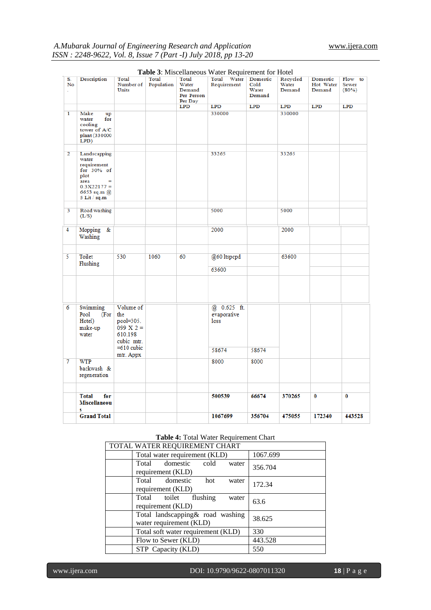|                |                                                                                                                         |                                                                       |                            |                                                          | <b>Table 5.</b> INTSCCHARGOUS WARD INCONDITION TO THORT |                                              |                             |                                 |                                  |
|----------------|-------------------------------------------------------------------------------------------------------------------------|-----------------------------------------------------------------------|----------------------------|----------------------------------------------------------|---------------------------------------------------------|----------------------------------------------|-----------------------------|---------------------------------|----------------------------------|
| S.<br>No<br>k, | <b>Description</b>                                                                                                      | Total<br>Number of<br>Units                                           | <b>Total</b><br>Population | <b>Total</b><br>Water<br>Demand<br>Per Person<br>Per Day | Total Water<br>Requirement                              | Domestic<br>$_{\rm Cold}$<br>Water<br>Demand | Recycled<br>Water<br>Demand | Domestic<br>Hot Water<br>Demand | Flow to<br><b>Sewer</b><br>(80%) |
|                |                                                                                                                         |                                                                       |                            | $_{\rm LPD}$                                             | <b>LPD</b>                                              | LPD                                          | LPD                         | LPD                             | LPD                              |
| $\mathbf{I}$   | Make<br>up<br>water<br>$_{\rm for}$<br>cooling<br>tower of A/C<br>plant (330000<br>LPD)                                 |                                                                       |                            |                                                          | 330000                                                  |                                              | 330000                      |                                 |                                  |
| $\overline{2}$ | Landscapping<br>water<br>requirement<br>for $30\%$ of<br>plot<br>area<br>$0.3X22177 =$<br>6653 sq.m @<br>5 Lit / $sq.m$ |                                                                       |                            |                                                          | 33265                                                   |                                              | 33265                       |                                 |                                  |
| 3              | Road washing<br>(L/S)                                                                                                   |                                                                       |                            |                                                          | 5000                                                    |                                              | 5000                        |                                 |                                  |
| 4              | Mopping<br>&<br>Washing                                                                                                 |                                                                       |                            |                                                          | 2000                                                    |                                              | 2000                        |                                 |                                  |
| 5              | Toilet<br>Flushing                                                                                                      | 530                                                                   | 1060                       | 60                                                       | @60 ltspcpd                                             |                                              | 63600                       |                                 |                                  |
|                |                                                                                                                         |                                                                       |                            |                                                          | 63600                                                   |                                              |                             |                                 |                                  |
|                |                                                                                                                         |                                                                       |                            |                                                          |                                                         |                                              |                             |                                 |                                  |
| 6              | Swimming<br>Pool<br>(For<br>Hotel)<br>make-up<br>water                                                                  | Volume of<br>the<br>$pool=305.$<br>099 $X =$<br>610.198<br>cubic mtr. |                            |                                                          | @ 0.625 ft.<br>evaporative<br>loss                      |                                              |                             |                                 |                                  |
|                |                                                                                                                         | $=610$ cubic<br>mtr. Appx                                             |                            |                                                          | 58674                                                   | 58674                                        |                             |                                 |                                  |
| 7              | <b>WTP</b><br>backwash &<br>regeneration                                                                                |                                                                       |                            |                                                          | 8000                                                    | 8000                                         |                             |                                 |                                  |
|                | <b>Total</b><br>for                                                                                                     |                                                                       |                            |                                                          | 500539                                                  | 66674                                        | 370265                      | $\bf{0}$                        | $\bf{0}$                         |
|                | Miscellaneou<br>S                                                                                                       |                                                                       |                            |                                                          |                                                         |                                              |                             |                                 |                                  |
|                | <b>Grand Total</b>                                                                                                      |                                                                       |                            |                                                          | 1067699                                                 | 356704                                       | 475055                      | 172340                          | 443528                           |

# **Table 3**: Miscellaneous Water Requirement for Hotel

### **Table 4:** Total Water Requirement Chart

| TOTAL WATER REQUIREMENT CHART                                |          |  |  |  |  |  |  |
|--------------------------------------------------------------|----------|--|--|--|--|--|--|
| Total water requirement (KLD)                                | 1067.699 |  |  |  |  |  |  |
| Total domestic<br>cold<br>water<br>requirement (KLD)         | 356.704  |  |  |  |  |  |  |
| Total domestic<br>hot<br>water<br>requirement (KLD)          | 172.34   |  |  |  |  |  |  |
| Total toilet flushing<br>water<br>requirement (KLD)          | 63.6     |  |  |  |  |  |  |
| Total landscapping & road washing<br>water requirement (KLD) | 38.625   |  |  |  |  |  |  |
| Total soft water requirement (KLD)                           | 330      |  |  |  |  |  |  |
| Flow to Sewer (KLD)                                          | 443.528  |  |  |  |  |  |  |
| STP Capacity (KLD)                                           | 550      |  |  |  |  |  |  |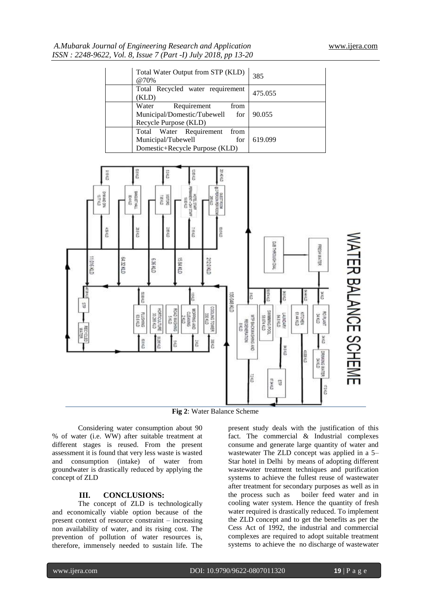| Total Water Output from STP (KLD)<br>@70%                                                      | 385     |
|------------------------------------------------------------------------------------------------|---------|
| Total Recycled water requirement<br>(KLD)                                                      | 475.055 |
| Water<br>Requirement<br>from<br>Municipal/Domestic/Tubewell<br>for<br>Recycle Purpose (KLD)    | 90.055  |
| Total Water Requirement<br>from<br>Municipal/Tubewell<br>for<br>Domestic+Recycle Purpose (KLD) | 619.099 |



**Fig 2**: Water Balance Scheme

Considering water consumption about 90 % of water (i.e. WW) after suitable treatment at different stages is reused. From the present assessment it is found that very less waste is wasted and consumption (intake) of water from groundwater is drastically reduced by applying the concept of ZLD

## **III. CONCLUSIONS:**

The concept of ZLD is technologically and economically viable option because of the present context of resource constraint – increasing non availability of water, and its rising cost. The prevention of pollution of water resources is, therefore, immensely needed to sustain life. The

present study deals with the justification of this fact. The commercial & Industrial complexes consume and generate large quantity of water and wastewater The ZLD concept was applied in a 5– Star hotel in Delhi by means of adopting different wastewater treatment techniques and purification systems to achieve the fullest reuse of wastewater after treatment for secondary purposes as well as in the process such as boiler feed water and in cooling water system. Hence the quantity of fresh water required is drastically reduced. To implement the ZLD concept and to get the benefits as per the Cess Act of 1992, the industrial and commercial complexes are required to adopt suitable treatment systems to achieve the no discharge of wastewater